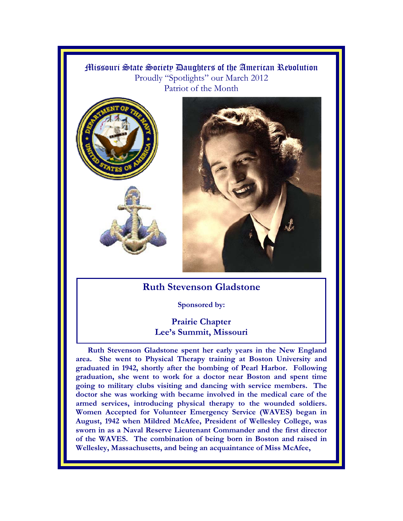## Missouri State Society Daughters of the American Revolution Proudly "Spotlights" our March 2012 Patriot of the Month







## **Ruth Stevenson Gladstone**

## **Sponsored by:**

## **Prairie Chapter Lee's Summit, Missouri**

**Ruth Stevenson Gladstone spent her early years in the New England area. She went to Physical Therapy training at Boston University and graduated in 1942, shortly after the bombing of Pearl Harbor. Following graduation, she went to work for a doctor near Boston and spent time going to military clubs visiting and dancing with service members. The doctor she was working with became involved in the medical care of the armed services, introducing physical therapy to the wounded soldiers. Women Accepted for Volunteer Emergency Service (WAVES) began in August, 1942 when Mildred McAfee, President of Wellesley College, was sworn in as a Naval Reserve Lieutenant Commander and the first director of the WAVES. The combination of being born in Boston and raised in Wellesley, Massachusetts, and being an acquaintance of Miss McAfee,**